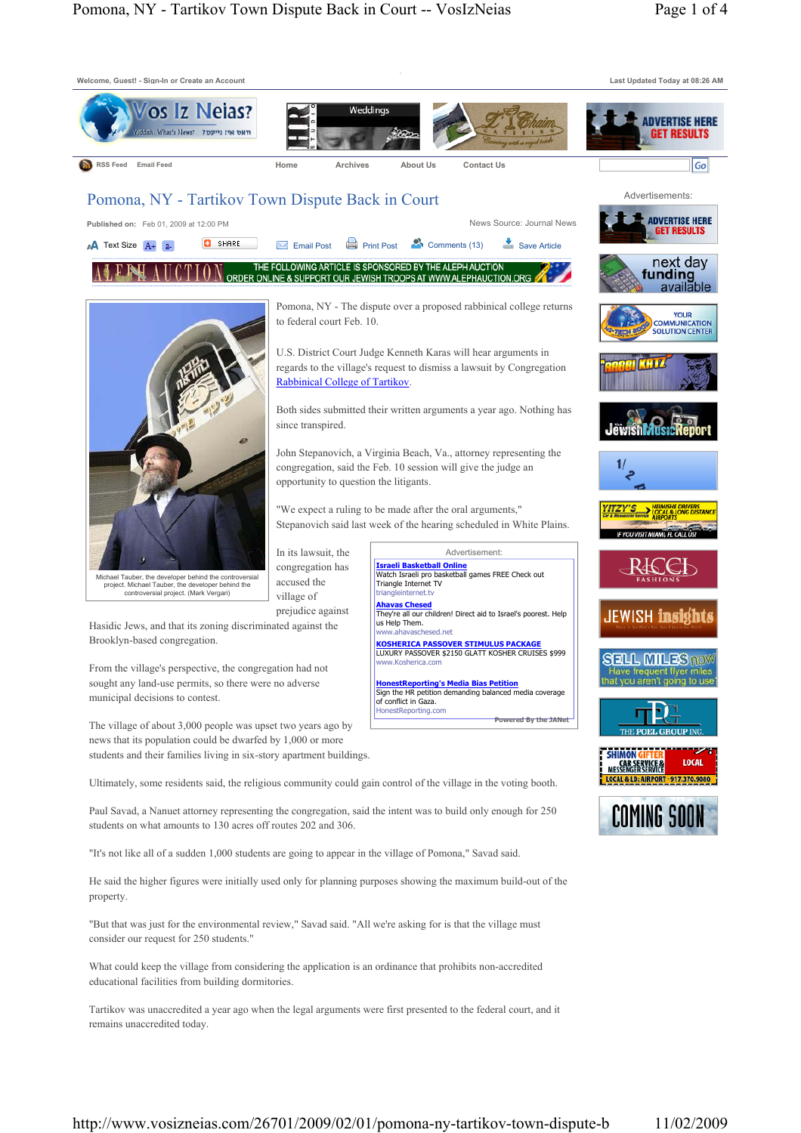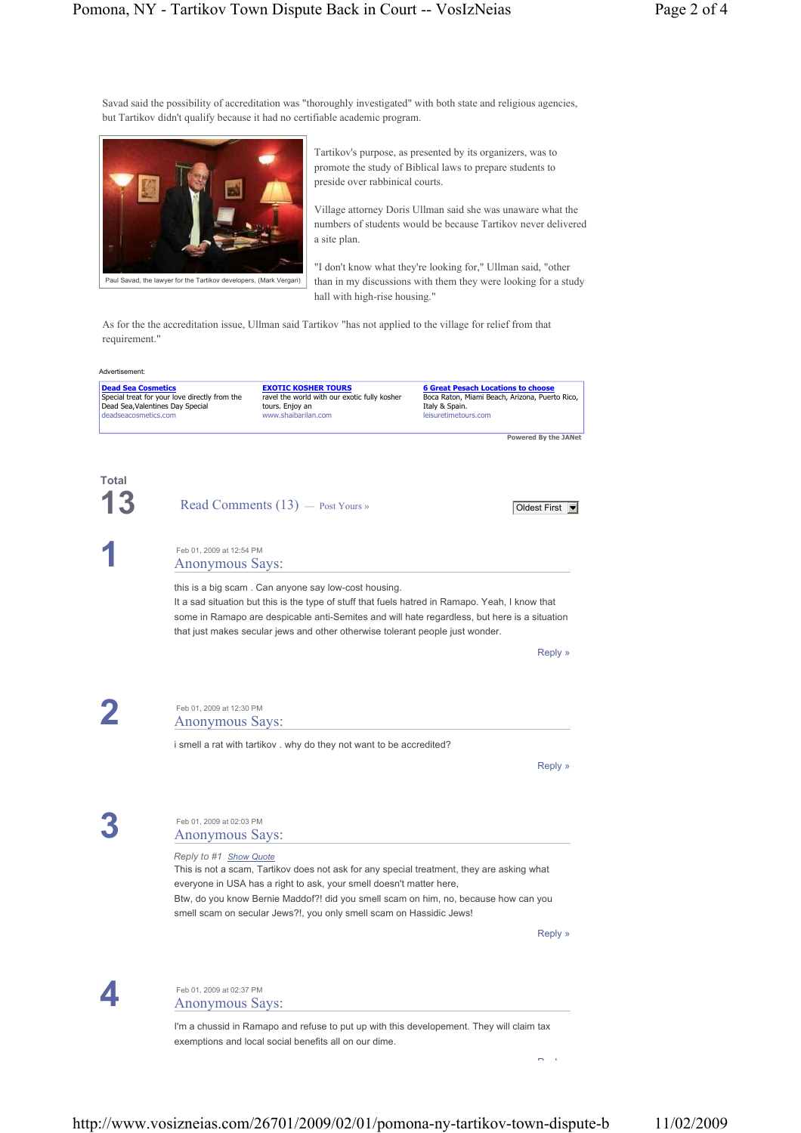Savad said the possibility of accreditation was "thoroughly investigated" with both state and religious agencies, but Tartikov didn't qualify because it had no certifiable academic program.



Tartikov's purpose, as presented by its organizers, was to promote the study of Biblical laws to prepare students to preside over rabbinical courts.

Village attorney Doris Ullman said she was unaware what the numbers of students would be because Tartikov never delivered a site plan.

"I don't know what they're looking for," Ullman said, "other than in my discussions with them they were looking for a study hall with high-rise housing."

As for the the accreditation issue, Ullman said Tartikov "has not applied to the village for relief from that requirement."

| <b>Dead Sea Cosmetics</b><br>Special treat for your love directly from the<br>Dead Sea, Valentines Day Special<br>deadseacosmetics.com |                                                    | <b>EXOTIC KOSHER TOURS</b><br>ravel the world with our exotic fully kosher<br>tours. Enjoy an<br>www.shaibarilan.com                                                                                                                                                                                                                     | <b>6 Great Pesach Locations to choose</b><br>Boca Raton, Miami Beach, Arizona, Puerto Rico,<br>Italy & Spain.<br>leisuretimetours.com |
|----------------------------------------------------------------------------------------------------------------------------------------|----------------------------------------------------|------------------------------------------------------------------------------------------------------------------------------------------------------------------------------------------------------------------------------------------------------------------------------------------------------------------------------------------|---------------------------------------------------------------------------------------------------------------------------------------|
|                                                                                                                                        |                                                    |                                                                                                                                                                                                                                                                                                                                          | Powered By the JANet                                                                                                                  |
| Total                                                                                                                                  |                                                    | Read Comments (13) - Post Yours »                                                                                                                                                                                                                                                                                                        | Oldest First •                                                                                                                        |
|                                                                                                                                        | Feb 01, 2009 at 12:54 PM<br><b>Anonymous Says:</b> |                                                                                                                                                                                                                                                                                                                                          |                                                                                                                                       |
|                                                                                                                                        |                                                    | this is a big scam. Can anyone say low-cost housing.<br>It a sad situation but this is the type of stuff that fuels hatred in Ramapo. Yeah, I know that<br>some in Ramapo are despicable anti-Semites and will hate regardless, but here is a situation<br>that just makes secular jews and other otherwise tolerant people just wonder. |                                                                                                                                       |
|                                                                                                                                        |                                                    |                                                                                                                                                                                                                                                                                                                                          | Reply »                                                                                                                               |
|                                                                                                                                        | Feb 01, 2009 at 12:30 PM<br><b>Anonymous Says:</b> |                                                                                                                                                                                                                                                                                                                                          |                                                                                                                                       |
|                                                                                                                                        |                                                    | i smell a rat with tartikov. why do they not want to be accredited?                                                                                                                                                                                                                                                                      |                                                                                                                                       |
|                                                                                                                                        |                                                    |                                                                                                                                                                                                                                                                                                                                          | Reply »                                                                                                                               |
|                                                                                                                                        | Feb 01, 2009 at 02:03 PM<br><b>Anonymous Says:</b> |                                                                                                                                                                                                                                                                                                                                          |                                                                                                                                       |
|                                                                                                                                        | Reply to #1 Show Quote                             | This is not a scam, Tartikov does not ask for any special treatment, they are asking what<br>everyone in USA has a right to ask, your smell doesn't matter here,<br>Btw, do you know Bernie Maddof?! did you smell scam on him, no, because how can you<br>smell scam on secular Jews?!, you only smell scam on Hassidic Jews!           |                                                                                                                                       |
|                                                                                                                                        |                                                    |                                                                                                                                                                                                                                                                                                                                          | Reply »                                                                                                                               |
|                                                                                                                                        | Feb 01, 2009 at 02:37 PM<br><b>Anonymous Says:</b> |                                                                                                                                                                                                                                                                                                                                          |                                                                                                                                       |
|                                                                                                                                        |                                                    |                                                                                                                                                                                                                                                                                                                                          |                                                                                                                                       |

I'm a chussid in Ramapo and refuse to put up with this developement. They will claim tax exemptions and local social benefits all on our dime.

R l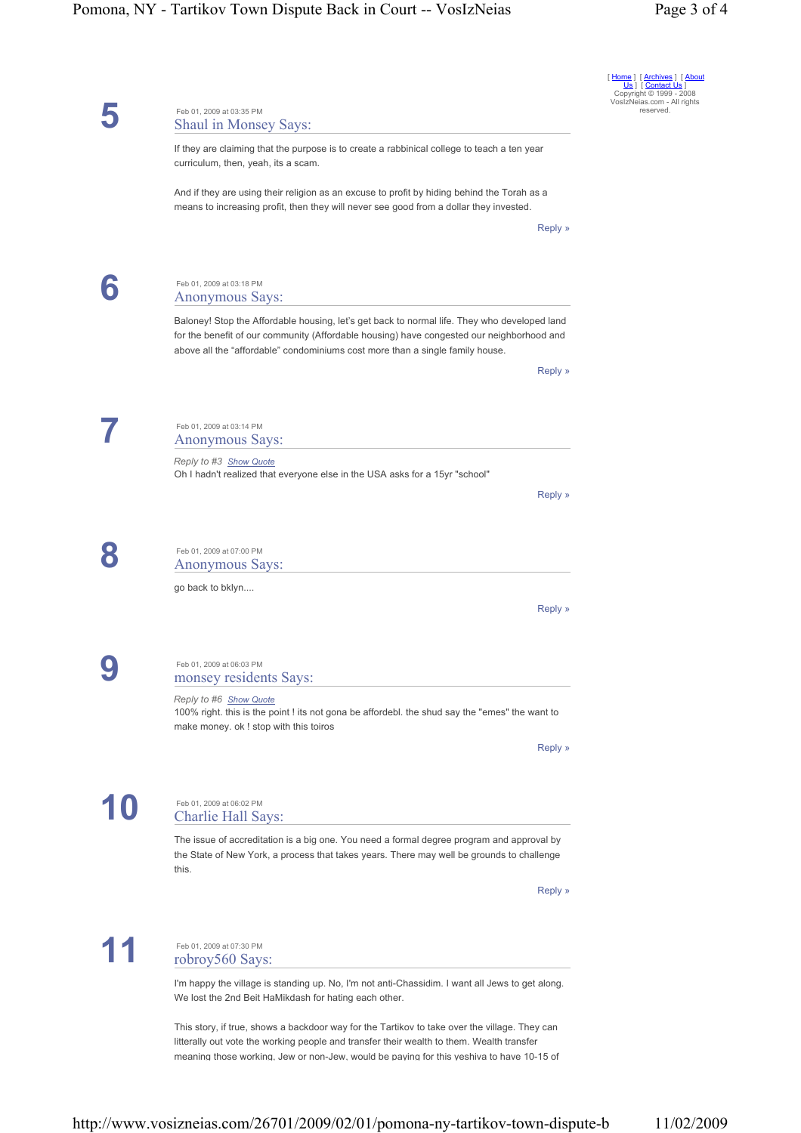## Pomona, NY - Tartikov Town Dispute Back in Court -- VosIzNeias Page 3 of 4

|                                                                                                                                                                                                                                                                            | Home   [Archives   [About<br>Us   [ Contact Us ]<br>Copyright © 1999 - 2008 |  |  |  |
|----------------------------------------------------------------------------------------------------------------------------------------------------------------------------------------------------------------------------------------------------------------------------|-----------------------------------------------------------------------------|--|--|--|
| Feb 01, 2009 at 03:35 PM<br>Shaul in Monsey Says:                                                                                                                                                                                                                          | VosIzNeias.com - All rights<br>reserved.                                    |  |  |  |
| If they are claiming that the purpose is to create a rabbinical college to teach a ten year<br>curriculum, then, yeah, its a scam.                                                                                                                                         |                                                                             |  |  |  |
| And if they are using their religion as an excuse to profit by hiding behind the Torah as a<br>means to increasing profit, then they will never see good from a dollar they invested.                                                                                      |                                                                             |  |  |  |
| Reply »                                                                                                                                                                                                                                                                    |                                                                             |  |  |  |
| Feb 01, 2009 at 03:18 PM<br><b>Anonymous Says:</b>                                                                                                                                                                                                                         |                                                                             |  |  |  |
| Baloney! Stop the Affordable housing, let's get back to normal life. They who developed land<br>for the benefit of our community (Affordable housing) have congested our neighborhood and<br>above all the "affordable" condominiums cost more than a single family house. |                                                                             |  |  |  |
| Reply »                                                                                                                                                                                                                                                                    |                                                                             |  |  |  |
| Feb 01, 2009 at 03:14 PM<br><b>Anonymous Says:</b>                                                                                                                                                                                                                         |                                                                             |  |  |  |
| Reply to #3 Show Quote<br>Oh I hadn't realized that everyone else in the USA asks for a 15yr "school"                                                                                                                                                                      |                                                                             |  |  |  |
| Reply »                                                                                                                                                                                                                                                                    |                                                                             |  |  |  |
| Feb 01, 2009 at 07:00 PM<br><b>Anonymous Says:</b>                                                                                                                                                                                                                         |                                                                             |  |  |  |
| go back to bklyn                                                                                                                                                                                                                                                           |                                                                             |  |  |  |
| Reply »                                                                                                                                                                                                                                                                    |                                                                             |  |  |  |
| Feb 01, 2009 at 06:03 PM<br>monsey residents Says:                                                                                                                                                                                                                         |                                                                             |  |  |  |
| Reply to #6 Show Quote<br>100% right. this is the point ! its not gona be affordebl. the shud say the "emes" the want to<br>make money. ok ! stop with this toiros                                                                                                         |                                                                             |  |  |  |
| Reply »                                                                                                                                                                                                                                                                    |                                                                             |  |  |  |
| Feb 01, 2009 at 06:02 PM<br><b>Charlie Hall Says:</b>                                                                                                                                                                                                                      |                                                                             |  |  |  |
| The issue of accreditation is a big one. You need a formal degree program and approval by<br>the State of New York, a process that takes years. There may well be grounds to challenge<br>this.                                                                            |                                                                             |  |  |  |
| Reply »                                                                                                                                                                                                                                                                    |                                                                             |  |  |  |
| Feb 01, 2009 at 07:30 PM<br>robroy560 Says:                                                                                                                                                                                                                                |                                                                             |  |  |  |
| I'm happy the village is standing up. No, I'm not anti-Chassidim. I want all Jews to get along.<br>We lost the 2nd Beit HaMikdash for hating each other.                                                                                                                   |                                                                             |  |  |  |
| This story, if true, shows a backdoor way for the Tartikov to take over the village. They can<br>litterally out vote the working people and transfer their wealth to them. Wealth transfer                                                                                 |                                                                             |  |  |  |

http://www.vosizneias.com/26701/2009/02/01/pomona-ny-tartikov-town-dispute-b 11/02/2009

meaning those working, Jew or non-Jew, would be paying for this yeshiva to have 10-15 of